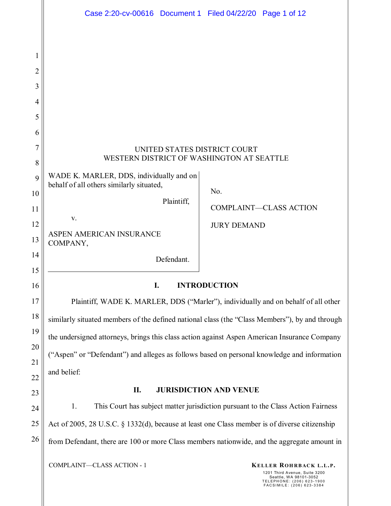|                | Case 2:20-cv-00616 Document 1 Filed 04/22/20 Page 1 of 12                                      |                     |                                                         |  |  |  |  |  |
|----------------|------------------------------------------------------------------------------------------------|---------------------|---------------------------------------------------------|--|--|--|--|--|
|                |                                                                                                |                     |                                                         |  |  |  |  |  |
| 1              |                                                                                                |                     |                                                         |  |  |  |  |  |
| $\overline{2}$ |                                                                                                |                     |                                                         |  |  |  |  |  |
| 3              |                                                                                                |                     |                                                         |  |  |  |  |  |
| 4              |                                                                                                |                     |                                                         |  |  |  |  |  |
| 5              |                                                                                                |                     |                                                         |  |  |  |  |  |
| 6              |                                                                                                |                     |                                                         |  |  |  |  |  |
| 7<br>8         | UNITED STATES DISTRICT COURT<br>WESTERN DISTRICT OF WASHINGTON AT SEATTLE                      |                     |                                                         |  |  |  |  |  |
| 9              | WADE K. MARLER, DDS, individually and on                                                       |                     |                                                         |  |  |  |  |  |
| 10             | behalf of all others similarly situated,                                                       | No.                 |                                                         |  |  |  |  |  |
| 11             | Plaintiff,                                                                                     |                     | <b>COMPLAINT-CLASS ACTION</b>                           |  |  |  |  |  |
| 12             | V.                                                                                             | <b>JURY DEMAND</b>  |                                                         |  |  |  |  |  |
| 13             | ASPEN AMERICAN INSURANCE<br>COMPANY,                                                           |                     |                                                         |  |  |  |  |  |
| 14<br>15       | Defendant.                                                                                     |                     |                                                         |  |  |  |  |  |
| 16             | I.                                                                                             | <b>INTRODUCTION</b> |                                                         |  |  |  |  |  |
| 17             | Plaintiff, WADE K. MARLER, DDS ("Marler"), individually and on behalf of all other             |                     |                                                         |  |  |  |  |  |
| 18             | similarly situated members of the defined national class (the "Class Members"), by and through |                     |                                                         |  |  |  |  |  |
| 19             | the undersigned attorneys, brings this class action against Aspen American Insurance Company   |                     |                                                         |  |  |  |  |  |
| 20             | ("Aspen" or "Defendant") and alleges as follows based on personal knowledge and information    |                     |                                                         |  |  |  |  |  |
| 21             | and belief:                                                                                    |                     |                                                         |  |  |  |  |  |
| 22<br>23       | П.<br><b>JURISDICTION AND VENUE</b>                                                            |                     |                                                         |  |  |  |  |  |
| 24             | 1.<br>This Court has subject matter jurisdiction pursuant to the Class Action Fairness         |                     |                                                         |  |  |  |  |  |
| 25             | Act of 2005, 28 U.S.C. § 1332(d), because at least one Class member is of diverse citizenship  |                     |                                                         |  |  |  |  |  |
| 26             | from Defendant, there are 100 or more Class members nationwide, and the aggregate amount in    |                     |                                                         |  |  |  |  |  |
|                | COMPLAINT-CLASS ACTION - 1                                                                     |                     | KELLER ROHRBACK L.L.P.<br>1201 Third Avenue, Suite 3200 |  |  |  |  |  |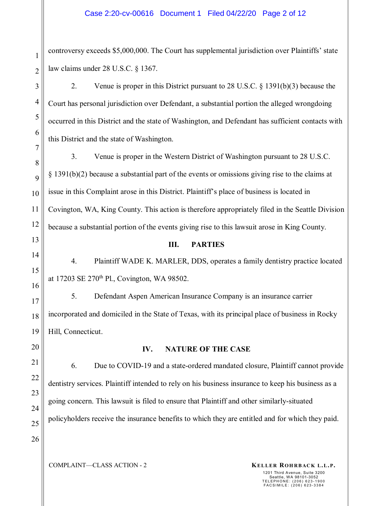controversy exceeds \$5,000,000. The Court has supplemental jurisdiction over Plaintiffs' state law claims under 28 U.S.C. § 1367.

2. Venue is proper in this District pursuant to 28 U.S.C. § 1391(b)(3) because the Court has personal jurisdiction over Defendant, a substantial portion the alleged wrongdoing occurred in this District and the state of Washington, and Defendant has sufficient contacts with this District and the state of Washington.

3. Venue is proper in the Western District of Washington pursuant to 28 U.S.C. § 1391(b)(2) because a substantial part of the events or omissions giving rise to the claims at issue in this Complaint arose in this District. Plaintiff's place of business is located in Covington, WA, King County. This action is therefore appropriately filed in the Seattle Division because a substantial portion of the events giving rise to this lawsuit arose in King County.

# 13

1

2

3

4

5

6

7

8

9

10

11

12

14

15

16

17

18

19

#### **III. PARTIES**

4. Plaintiff WADE K. MARLER, DDS, operates a family dentistry practice located at 17203 SE 270th Pl., Covington, WA 98502.

5. Defendant Aspen American Insurance Company is an insurance carrier incorporated and domiciled in the State of Texas, with its principal place of business in Rocky Hill, Connecticut.

## 20 21

22

23

24

25

26

### **IV. NATURE OF THE CASE**

6. Due to COVID-19 and a state-ordered mandated closure, Plaintiff cannot provide dentistry services. Plaintiff intended to rely on his business insurance to keep his business as a going concern. This lawsuit is filed to ensure that Plaintiff and other similarly-situated policyholders receive the insurance benefits to which they are entitled and for which they paid.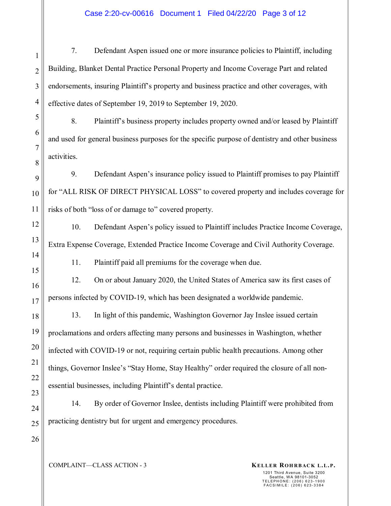#### Case 2:20-cv-00616 Document 1 Filed 04/22/20 Page 3 of 12

7. Defendant Aspen issued one or more insurance policies to Plaintiff, including Building, Blanket Dental Practice Personal Property and Income Coverage Part and related endorsements, insuring Plaintiff's property and business practice and other coverages, with effective dates of September 19, 2019 to September 19, 2020.

8. Plaintiff's business property includes property owned and/or leased by Plaintiff and used for general business purposes for the specific purpose of dentistry and other business activities.

9. Defendant Aspen's insurance policy issued to Plaintiff promises to pay Plaintiff for "ALL RISK OF DIRECT PHYSICAL LOSS" to covered property and includes coverage for risks of both "loss of or damage to" covered property.

10. Defendant Aspen's policy issued to Plaintiff includes Practice Income Coverage, Extra Expense Coverage, Extended Practice Income Coverage and Civil Authority Coverage.

11. Plaintiff paid all premiums for the coverage when due.

12. On or about January 2020, the United States of America saw its first cases of persons infected by COVID-19, which has been designated a worldwide pandemic.

18 19 20 21 22 13. In light of this pandemic, Washington Governor Jay Inslee issued certain proclamations and orders affecting many persons and businesses in Washington, whether infected with COVID-19 or not, requiring certain public health precautions. Among other things, Governor Inslee's "Stay Home, Stay Healthy" order required the closure of all nonessential businesses, including Plaintiff's dental practice.

24 25 14. By order of Governor Inslee, dentists including Plaintiff were prohibited from practicing dentistry but for urgent and emergency procedures.

26

23

1

2

3

4

5

6

7

8

9

10

11

12

13

14

15

16

17

COMPLAINT—CLASS ACTION - 3 **KELLER ROHRBACK L.L.P.**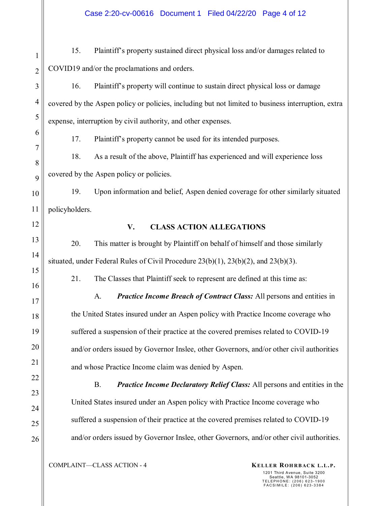15. Plaintiff's property sustained direct physical loss and/or damages related to COVID19 and/or the proclamations and orders.

16. Plaintiff's property will continue to sustain direct physical loss or damage covered by the Aspen policy or policies, including but not limited to business interruption, extra expense, interruption by civil authority, and other expenses.

17. Plaintiff's property cannot be used for its intended purposes.

18. As a result of the above, Plaintiff has experienced and will experience loss covered by the Aspen policy or policies.

10 11 19. Upon information and belief, Aspen denied coverage for other similarly situated policyholders.

18

19

20

21

22

23

24

25

26

12

1

2

3

4

5

6

7

8

9

## **V. CLASS ACTION ALLEGATIONS**

20. This matter is brought by Plaintiff on behalf of himself and those similarly situated, under Federal Rules of Civil Procedure 23(b)(1), 23(b)(2), and 23(b)(3).

21. The Classes that Plaintiff seek to represent are defined at this time as:

A. *Practice Income Breach of Contract Class:* All persons and entities in the United States insured under an Aspen policy with Practice Income coverage who suffered a suspension of their practice at the covered premises related to COVID-19 and/or orders issued by Governor Inslee, other Governors, and/or other civil authorities and whose Practice Income claim was denied by Aspen.

B. *Practice Income Declaratory Relief Class:* All persons and entities in the United States insured under an Aspen policy with Practice Income coverage who suffered a suspension of their practice at the covered premises related to COVID-19 and/or orders issued by Governor Inslee, other Governors, and/or other civil authorities.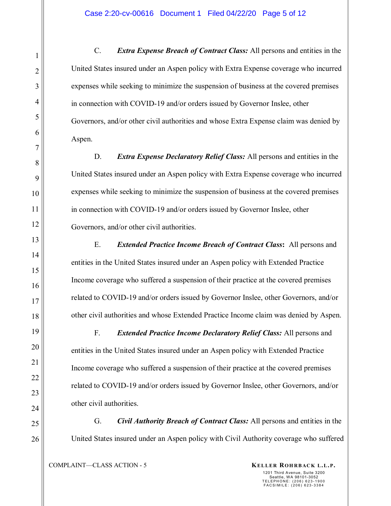C. *Extra Expense Breach of Contract Class:* All persons and entities in the United States insured under an Aspen policy with Extra Expense coverage who incurred expenses while seeking to minimize the suspension of business at the covered premises in connection with COVID-19 and/or orders issued by Governor Inslee, other Governors, and/or other civil authorities and whose Extra Expense claim was denied by Aspen.

D. *Extra Expense Declaratory Relief Class:* All persons and entities in the United States insured under an Aspen policy with Extra Expense coverage who incurred expenses while seeking to minimize the suspension of business at the covered premises in connection with COVID-19 and/or orders issued by Governor Inslee, other Governors, and/or other civil authorities.

E. *Extended Practice Income Breach of Contract Class***:** All persons and entities in the United States insured under an Aspen policy with Extended Practice Income coverage who suffered a suspension of their practice at the covered premises related to COVID-19 and/or orders issued by Governor Inslee, other Governors, and/or other civil authorities and whose Extended Practice Income claim was denied by Aspen.

F. *Extended Practice Income Declaratory Relief Class:* All persons and entities in the United States insured under an Aspen policy with Extended Practice Income coverage who suffered a suspension of their practice at the covered premises related to COVID-19 and/or orders issued by Governor Inslee, other Governors, and/or other civil authorities.

G. *Civil Authority Breach of Contract Class:* All persons and entities in the United States insured under an Aspen policy with Civil Authority coverage who suffered

COMPLAINT—CLASS ACTION - 5 **KELLER ROHRBACK L.L.P.**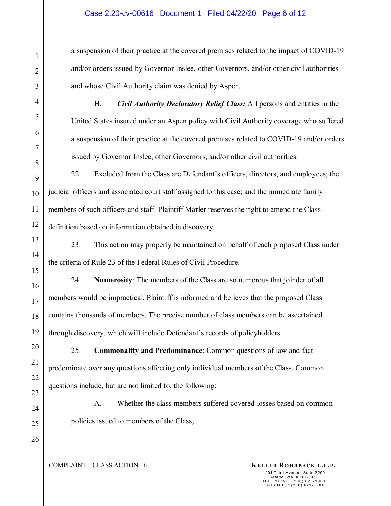a suspension of their practice at the covered premises related to the impact of COVID-19 and/or orders issued by Governor Inslee, other Governors, and/or other civil authorities and whose Civil Authority claim was denied by Aspen.

H. *Civil Authority Declaratory Relief Class:* All persons and entities in the United States insured under an Aspen policy with Civil Authority coverage who suffered a suspension of their practice at the covered premises related to COVID-19 and/or orders issued by Governor Inslee, other Governors, and/or other civil authorities.

22. Excluded from the Class are Defendant's officers, directors, and employees; the judicial officers and associated court staff assigned to this case; and the immediate family members of such officers and staff. Plaintiff Marler reserves the right to amend the Class definition based on information obtained in discovery.

23. This action may properly be maintained on behalf of each proposed Class under the criteria of Rule 23 of the Federal Rules of Civil Procedure.

24. **Numerosity**: The members of the Class are so numerous that joinder of all members would be impractical. Plaintiff is informed and believes that the proposed Class contains thousands of members. The precise number of class members can be ascertained through discovery, which will include Defendant's records of policyholders.

25. **Commonality and Predominance**: Common questions of law and fact predominate over any questions affecting only individual members of the Class. Common questions include, but are not limited to, the following:

A. Whether the class members suffered covered losses based on common policies issued to members of the Class;

COMPLAINT—CLASS ACTION - 6 **KELLER ROHRBACK L.L.P.**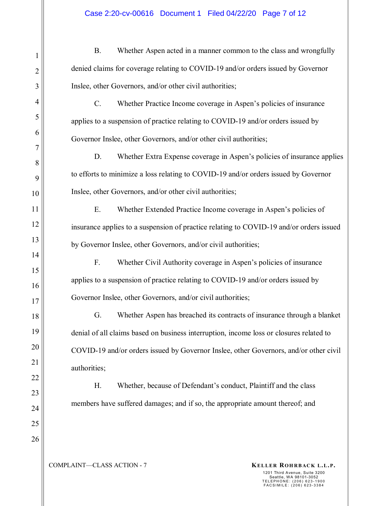B. Whether Aspen acted in a manner common to the class and wrongfully denied claims for coverage relating to COVID-19 and/or orders issued by Governor Inslee, other Governors, and/or other civil authorities;

C. Whether Practice Income coverage in Aspen's policies of insurance applies to a suspension of practice relating to COVID-19 and/or orders issued by Governor Inslee, other Governors, and/or other civil authorities;

D. Whether Extra Expense coverage in Aspen's policies of insurance applies to efforts to minimize a loss relating to COVID-19 and/or orders issued by Governor Inslee, other Governors, and/or other civil authorities;

E. Whether Extended Practice Income coverage in Aspen's policies of insurance applies to a suspension of practice relating to COVID-19 and/or orders issued by Governor Inslee, other Governors, and/or civil authorities;

F. Whether Civil Authority coverage in Aspen's policies of insurance applies to a suspension of practice relating to COVID-19 and/or orders issued by Governor Inslee, other Governors, and/or civil authorities;

G. Whether Aspen has breached its contracts of insurance through a blanket denial of all claims based on business interruption, income loss or closures related to COVID-19 and/or orders issued by Governor Inslee, other Governors, and/or other civil authorities;

H. Whether, because of Defendant's conduct, Plaintiff and the class members have suffered damages; and if so, the appropriate amount thereof; and

COMPLAINT—CLASS ACTION - 7 **KELLER ROHRBACK L.L.P.**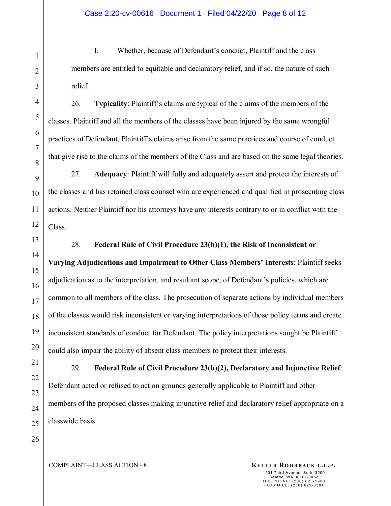I. Whether, because of Defendant's conduct, Plaintiff and the class members are entitled to equitable and declaratory relief, and if so, the nature of such relief.

26. **Typicality**: Plaintiff's claims are typical of the claims of the members of the classes. Plaintiff and all the members of the classes have been injured by the same wrongful practices of Defendant. Plaintiff's claims arise from the same practices and course of conduct that give rise to the claims of the members of the Class and are based on the same legal theories.

27. **Adequacy**: Plaintiff will fully and adequately assert and protect the interests of the classes and has retained class counsel who are experienced and qualified in prosecuting class actions. Neither Plaintiff nor his attorneys have any interests contrary to or in conflict with the Class.

28. **Federal Rule of Civil Procedure 23(b)(1), the Risk of Inconsistent or Varying Adjudications and Impairment to Other Class Members' Interests**: Plaintiff seeks adjudication as to the interpretation, and resultant scope, of Defendant's policies, which are common to all members of the class. The prosecution of separate actions by individual members of the classes would risk inconsistent or varying interpretations of those policy terms and create inconsistent standards of conduct for Defendant. The policy interpretations sought be Plaintiff could also impair the ability of absent class members to protect their interests.

29. **Federal Rule of Civil Procedure 23(b)(2), Declaratory and Injunctive Relief**: Defendant acted or refused to act on grounds generally applicable to Plaintiff and other members of the proposed classes making injunctive relief and declaratory relief appropriate on a classwide basis.

1

2

3

COMPLAINT—CLASS ACTION - 8 **KELLER ROHRBACK L.L.P.**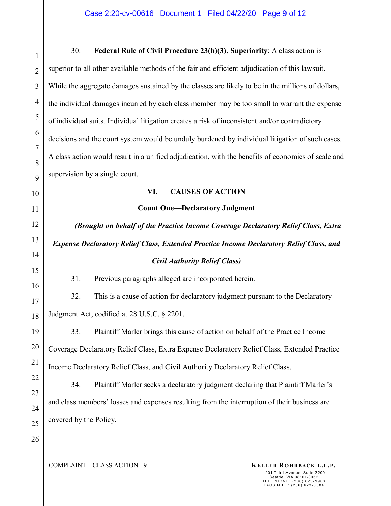| 1                   | Federal Rule of Civil Procedure 23(b)(3), Superiority: A class action is<br>30.                    |  |  |  |  |
|---------------------|----------------------------------------------------------------------------------------------------|--|--|--|--|
| $\overline{2}$      | superior to all other available methods of the fair and efficient adjudication of this lawsuit.    |  |  |  |  |
| 3                   | While the aggregate damages sustained by the classes are likely to be in the millions of dollars,  |  |  |  |  |
| $\overline{4}$      | the individual damages incurred by each class member may be too small to warrant the expense       |  |  |  |  |
| 5                   | of individual suits. Individual litigation creates a risk of inconsistent and/or contradictory     |  |  |  |  |
| 6                   | decisions and the court system would be unduly burdened by individual litigation of such cases.    |  |  |  |  |
| $\overline{7}$<br>8 | A class action would result in a unified adjudication, with the benefits of economies of scale and |  |  |  |  |
| 9                   | supervision by a single court.                                                                     |  |  |  |  |
| 10                  | VI.<br><b>CAUSES OF ACTION</b>                                                                     |  |  |  |  |
| 11                  | <b>Count One-Declaratory Judgment</b>                                                              |  |  |  |  |
| 12                  | (Brought on behalf of the Practice Income Coverage Declaratory Relief Class, Extra                 |  |  |  |  |
| 13                  | <b>Expense Declaratory Relief Class, Extended Practice Income Declaratory Relief Class, and</b>    |  |  |  |  |
| 14                  | <b>Civil Authority Relief Class)</b>                                                               |  |  |  |  |
| 15                  |                                                                                                    |  |  |  |  |
|                     | 31.<br>Previous paragraphs alleged are incorporated herein.                                        |  |  |  |  |
| 16                  | 32.<br>This is a cause of action for declaratory judgment pursuant to the Declaratory              |  |  |  |  |
| 17<br>18            | Judgment Act, codified at 28 U.S.C. § 2201.                                                        |  |  |  |  |
| 19                  | Plaintiff Marler brings this cause of action on behalf of the Practice Income<br>33.               |  |  |  |  |
| 20                  | Coverage Declaratory Relief Class, Extra Expense Declaratory Relief Class, Extended Practice       |  |  |  |  |
| 21                  | Income Declaratory Relief Class, and Civil Authority Declaratory Relief Class.                     |  |  |  |  |
| 22                  | Plaintiff Marler seeks a declaratory judgment declaring that Plaintiff Marler's<br>34.             |  |  |  |  |
| 23                  | and class members' losses and expenses resulting from the interruption of their business are       |  |  |  |  |
| 24                  | covered by the Policy.                                                                             |  |  |  |  |
| 25<br>26            |                                                                                                    |  |  |  |  |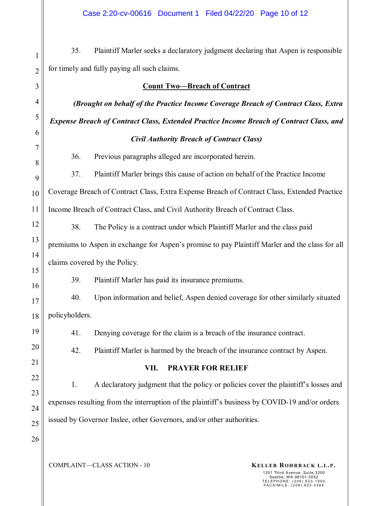2 35. Plaintiff Marler seeks a declaratory judgment declaring that Aspen is responsible for timely and fully paying all such claims.

| 3              | <b>Count Two-Breach of Contract</b>                                                             |  |  |  |  |
|----------------|-------------------------------------------------------------------------------------------------|--|--|--|--|
| $\overline{4}$ | (Brought on behalf of the Practice Income Coverage Breach of Contract Class, Extra              |  |  |  |  |
| 5              | <b>Expense Breach of Contract Class, Extended Practice Income Breach of Contract Class, and</b> |  |  |  |  |
| 6              | <b>Civil Authority Breach of Contract Class)</b>                                                |  |  |  |  |
| 7<br>8         | 36.<br>Previous paragraphs alleged are incorporated herein.                                     |  |  |  |  |
| 9              | Plaintiff Marler brings this cause of action on behalf of the Practice Income<br>37.            |  |  |  |  |
| 10             | Coverage Breach of Contract Class, Extra Expense Breach of Contract Class, Extended Practice    |  |  |  |  |
| 11             | Income Breach of Contract Class, and Civil Authority Breach of Contract Class.                  |  |  |  |  |
| 12             | 38.<br>The Policy is a contract under which Plaintiff Marler and the class paid                 |  |  |  |  |
| 13             | premiums to Aspen in exchange for Aspen's promise to pay Plaintiff Marler and the class for all |  |  |  |  |
| 14             | claims covered by the Policy.                                                                   |  |  |  |  |
| 15             | Plaintiff Marler has paid its insurance premiums.<br>39.                                        |  |  |  |  |
| 16             | Upon information and belief, Aspen denied coverage for other similarly situated<br>40.          |  |  |  |  |
| 17<br>18       | policyholders.                                                                                  |  |  |  |  |
| 19             | 41.<br>Denying coverage for the claim is a breach of the insurance contract.                    |  |  |  |  |
| 20             |                                                                                                 |  |  |  |  |
| 21             | 42.<br>Plaintiff Marler is harmed by the breach of the insurance contract by Aspen.             |  |  |  |  |
| 22             | VII.<br><b>PRAYER FOR RELIEF</b>                                                                |  |  |  |  |
| 23             | A declaratory judgment that the policy or policies cover the plaintiff's losses and<br>1.       |  |  |  |  |
| 24             | expenses resulting from the interruption of the plaintiff's business by COVID-19 and/or orders  |  |  |  |  |
| 25             | issued by Governor Inslee, other Governors, and/or other authorities.                           |  |  |  |  |
| 26             |                                                                                                 |  |  |  |  |
|                |                                                                                                 |  |  |  |  |

1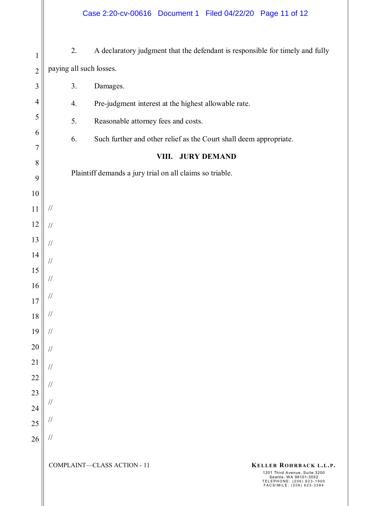- 1 2 3 4 5 6 7 8 9 10 11 12 13 14 15 16 17 18 19 20 2. A declaratory judgment that the defendant is responsible for timely and fully paying all such losses. 3. Damages. 4. Pre-judgment interest at the highest allowable rate. 5. Reasonable attorney fees and costs. 6. Such further and other relief as the Court shall deem appropriate. **VIII. JURY DEMAND**  Plaintiff demands a jury trial on all claims so triable. // // // // // // // // //
- 21 22 23 24 25 26 // // // // //

COMPLAINT—CLASS ACTION - 11 **KELLER ROHRBACK L.L.P.**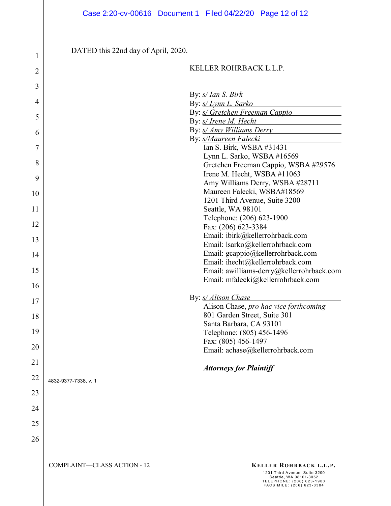DATED this 22nd day of April, 2020.

#### KELLER ROHRBACK L.L.P.

| 3  |                                    |                                                                                                                   |  |  |
|----|------------------------------------|-------------------------------------------------------------------------------------------------------------------|--|--|
|    |                                    | By: s/ Ian S. Birk                                                                                                |  |  |
| 4  | By: s/ Lynn L. Sarko               |                                                                                                                   |  |  |
| 5  |                                    | By: s/ Gretchen Freeman Cappio                                                                                    |  |  |
|    |                                    | By: s/ Irene M. Hecht                                                                                             |  |  |
| 6  |                                    | By: s/ Amy Williams Derry                                                                                         |  |  |
| 7  |                                    | By: s/Maureen Falecki<br>Ian S. Birk, WSBA #31431                                                                 |  |  |
|    |                                    | Lynn L. Sarko, WSBA #16569                                                                                        |  |  |
| 8  |                                    | Gretchen Freeman Cappio, WSBA #29576                                                                              |  |  |
|    |                                    | Irene M. Hecht, WSBA #11063                                                                                       |  |  |
| 9  |                                    | Amy Williams Derry, WSBA #28711                                                                                   |  |  |
| 10 |                                    | Maureen Falecki, WSBA#18569                                                                                       |  |  |
|    |                                    | 1201 Third Avenue, Suite 3200                                                                                     |  |  |
| 11 |                                    | Seattle, WA 98101                                                                                                 |  |  |
|    |                                    | Telephone: (206) 623-1900                                                                                         |  |  |
| 12 |                                    | Fax: (206) 623-3384                                                                                               |  |  |
| 13 |                                    | Email: ibirk@kellerrohrback.com                                                                                   |  |  |
|    |                                    | Email: lsarko@kellerrohrback.com                                                                                  |  |  |
| 14 |                                    | Email: gcappio@kellerrohrback.com                                                                                 |  |  |
|    |                                    | Email: ihecht@kellerrohrback.com                                                                                  |  |  |
| 15 |                                    | Email: awilliams-derry@kellerrohrback.com                                                                         |  |  |
|    |                                    | Email: mfalecki@kellerrohrback.com                                                                                |  |  |
| 16 |                                    |                                                                                                                   |  |  |
| 17 |                                    | By: <i>s/ Alison Chase</i>                                                                                        |  |  |
|    |                                    | Alison Chase, pro hac vice forthcoming                                                                            |  |  |
| 18 |                                    | 801 Garden Street, Suite 301                                                                                      |  |  |
|    |                                    | Santa Barbara, CA 93101                                                                                           |  |  |
| 19 |                                    | Telephone: (805) 456-1496                                                                                         |  |  |
| 20 |                                    | Fax: (805) 456-1497                                                                                               |  |  |
|    |                                    | Email: achase@kellerrohrback.com                                                                                  |  |  |
| 21 |                                    | <b>Attorneys for Plaintiff</b>                                                                                    |  |  |
| 22 | 4832-9377-7338, v. 1               |                                                                                                                   |  |  |
| 23 |                                    |                                                                                                                   |  |  |
|    |                                    |                                                                                                                   |  |  |
| 24 |                                    |                                                                                                                   |  |  |
| 25 |                                    |                                                                                                                   |  |  |
| 26 |                                    |                                                                                                                   |  |  |
|    |                                    |                                                                                                                   |  |  |
|    | <b>COMPLAINT-CLASS ACTION - 12</b> | KELLER ROHRBACK L.L.P.                                                                                            |  |  |
|    |                                    | 1201 Third Avenue, Suite 3200<br>Seattle, WA 98101-3052<br>TELEPHONE: (206) 623-1900<br>FACSIMILE: (206) 623-3384 |  |  |